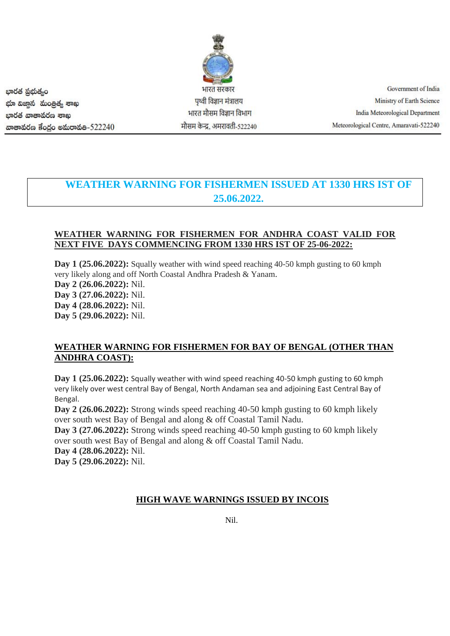భారత ప్రభుత్వం భూ విజాన మంత్రిత్య శాఖ ಭಾರತ ವಾತಾವರಣ ಕಾಖ ගාෂාකර් ප්රේර මකාරාකීම-522240

भारत सरकार पृथ्वी विज्ञान मंत्रालय भारत मौसम विज्ञान विभाग मौसम केन्द्र, अमरावती-522240

Government of India Ministry of Earth Science India Meteorological Department Meteorological Centre, Amaravati-522240

# **WEATHER WARNING FOR FISHERMEN ISSUED AT 1330 HRS IST OF 25.06.2022.**

### **WEATHER WARNING FOR FISHERMEN FOR ANDHRA COAST VALID FOR NEXT FIVE DAYS COMMENCING FROM 1330 HRS IST OF 25-06-2022:**

Day 1 (25.06.2022): Squally weather with wind speed reaching 40-50 kmph gusting to 60 kmph very likely along and off North Coastal Andhra Pradesh & Yanam. **Day 2 (26.06.2022):** Nil. **Day 3 (27.06.2022):** Nil. **Day 4 (28.06.2022):** Nil. **Day 5 (29.06.2022):** Nil.

## **WEATHER WARNING FOR FISHERMEN FOR BAY OF BENGAL (OTHER THAN ANDHRA COAST):**

**Day 1 (25.06.2022):** Squally weather with wind speed reaching 40-50 kmph gusting to 60 kmph very likely over west central Bay of Bengal, North Andaman sea and adjoining East Central Bay of Bengal.

**Day 2 (26.06.2022):** Strong winds speed reaching 40-50 kmph gusting to 60 kmph likely over south west Bay of Bengal and along & off Coastal Tamil Nadu.

**Day 3 (27.06.2022):** Strong winds speed reaching 40-50 kmph gusting to 60 kmph likely over south west Bay of Bengal and along & off Coastal Tamil Nadu.

**Day 4 (28.06.2022):** Nil.

**Day 5 (29.06.2022):** Nil.

#### **HIGH WAVE WARNINGS ISSUED BY INCOIS**

Nil.